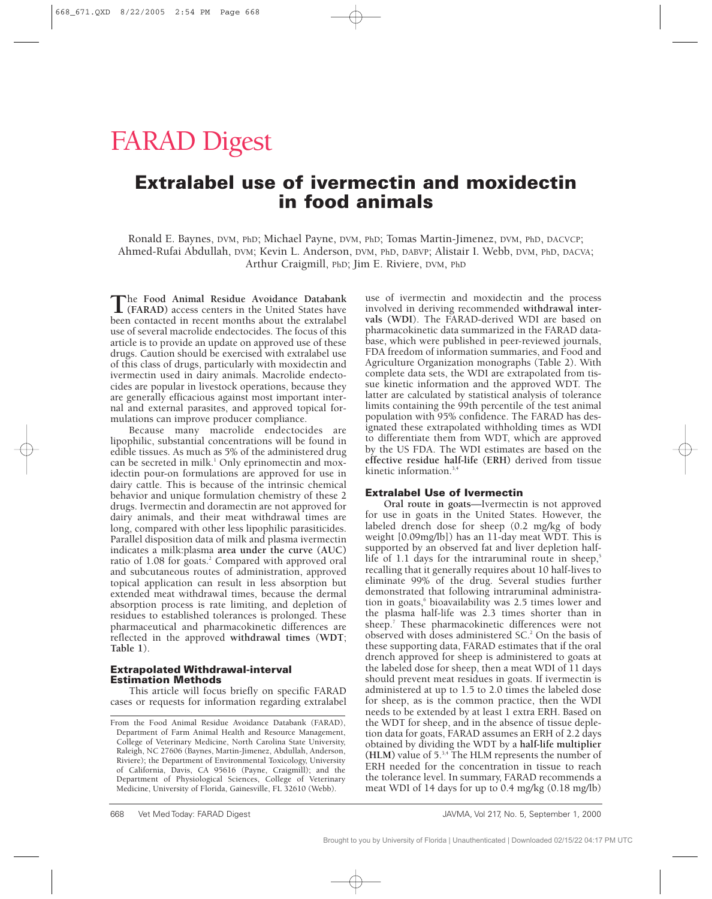# FARAD Digest

# **Extralabel use of ivermectin and moxidectin in food animals**

Ronald E. Baynes, DVM, PhD; Michael Payne, DVM, PhD; Tomas Martin-Jimenez, DVM, PhD, DACVCP; Ahmed-Rufai Abdullah, DVM; Kevin L. Anderson, DVM, PhD, DABVP; Alistair I. Webb, DVM, PhD, DACVA; Arthur Craigmill, PhD; Jim E. Riviere, DVM, PhD

**T**he **Food Animal Residue Avoidance Databank (FARAD)** access centers in the United States have been contacted in recent months about the extralabel use of several macrolide endectocides. The focus of this article is to provide an update on approved use of these drugs. Caution should be exercised with extralabel use of this class of drugs, particularly with moxidectin and ivermectin used in dairy animals. Macrolide endectocides are popular in livestock operations, because they are generally efficacious against most important internal and external parasites, and approved topical formulations can improve producer compliance.

Because many macrolide endectocides are lipophilic, substantial concentrations will be found in edible tissues. As much as 5% of the administered drug can be secreted in milk.<sup>1</sup> Only eprinomectin and moxidectin pour-on formulations are approved for use in dairy cattle. This is because of the intrinsic chemical behavior and unique formulation chemistry of these 2 drugs. Ivermectin and doramectin are not approved for dairy animals, and their meat withdrawal times are long, compared with other less lipophilic parasiticides. Parallel disposition data of milk and plasma ivermectin indicates a milk:plasma **area under the curve (AUC)** ratio of 1.08 for goats.<sup>2</sup> Compared with approved oral and subcutaneous routes of administration, approved topical application can result in less absorption but extended meat withdrawal times, because the dermal absorption process is rate limiting, and depletion of residues to established tolerances is prolonged. These pharmaceutical and pharmacokinetic differences are reflected in the approved **withdrawal times** (**WDT**; **Table 1**).

#### **Extrapolated Withdrawal-interval Estimation Methods**

This article will focus briefly on specific FARAD cases or requests for information regarding extralabel

use of ivermectin and moxidectin and the process involved in deriving recommended **withdrawal intervals (WDI**). The FARAD-derived WDI are based on pharmacokinetic data summarized in the FARAD database, which were published in peer-reviewed journals, FDA freedom of information summaries, and Food and Agriculture Organization monographs (Table 2). With complete data sets, the WDI are extrapolated from tissue kinetic information and the approved WDT. The latter are calculated by statistical analysis of tolerance limits containing the 99th percentile of the test animal population with 95% confidence. The FARAD has designated these extrapolated withholding times as WDI to differentiate them from WDT, which are approved by the US FDA. The WDI estimates are based on the **effective residue half-life (ERH)** derived from tissue kinetic information.3,4

#### **Extralabel Use of Ivermectin**

**Oral route in goats**—Ivermectin is not approved for use in goats in the United States. However, the labeled drench dose for sheep (0.2 mg/kg of body weight [0.09mg/lb]) has an 11-day meat WDT. This is supported by an observed fat and liver depletion halflife of 1.1 days for the intraruminal route in sheep, $5$ recalling that it generally requires about 10 half-lives to eliminate 99% of the drug. Several studies further demonstrated that following intraruminal administration in goats,<sup>6</sup> bioavailability was 2.5 times lower and the plasma half-life was 2.3 times shorter than in sheep.<sup>7</sup> These pharmacokinetic differences were not observed with doses administered SC.2 On the basis of these supporting data, FARAD estimates that if the oral drench approved for sheep is administered to goats at the labeled dose for sheep, then a meat WDI of 11 days should prevent meat residues in goats. If ivermectin is administered at up to 1.5 to 2.0 times the labeled dose for sheep, as is the common practice, then the WDI needs to be extended by at least 1 extra ERH. Based on the WDT for sheep, and in the absence of tissue depletion data for goats, FARAD assumes an ERH of 2.2 days obtained by dividing the WDT by a **half-life multiplier (HLM)** value of 5.3,4 The HLM represents the number of ERH needed for the concentration in tissue to reach the tolerance level. In summary, FARAD recommends a meat WDI of 14 days for up to 0.4 mg/kg (0.18 mg/lb)

From the Food Animal Residue Avoidance Databank (FARAD), Department of Farm Animal Health and Resource Management, College of Veterinary Medicine, North Carolina State University, Raleigh, NC 27606 (Baynes, Martin-Jimenez, Abdullah, Anderson, Riviere); the Department of Environmental Toxicology, University of California, Davis, CA 95616 (Payne, Craigmill); and the Department of Physiological Sciences, College of Veterinary Medicine, University of Florida, Gainesville, FL 32610 (Webb).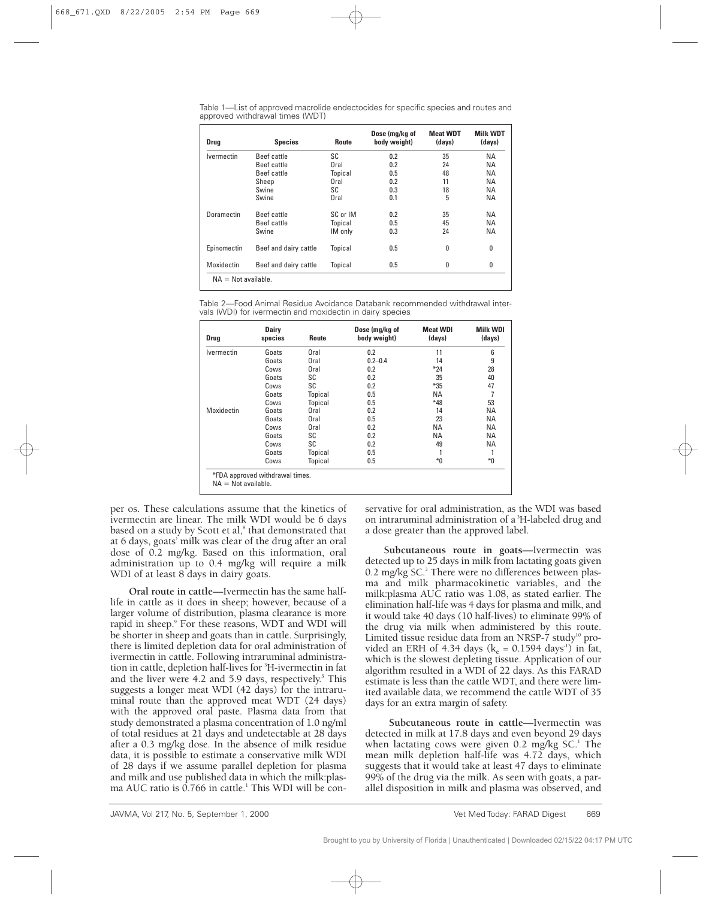Table 1—List of approved macrolide endectocides for specific species and routes and approved withdrawal times (WDT)

| <b>Drug</b>       | <b>Species</b>        | Route    | Dose (mg/kg of<br>body weight) | <b>Meat WDT</b><br>(days) | <b>Milk WDT</b><br>(days) |
|-------------------|-----------------------|----------|--------------------------------|---------------------------|---------------------------|
| <b>Ivermectin</b> | Beef cattle           | SC       | 0.2                            | 35                        | ΝA                        |
|                   | <b>Beef cattle</b>    | Oral     | 0.2                            | 24                        | <b>NA</b>                 |
|                   | Beef cattle           | Topical  | 0.5                            | 48                        | <b>NA</b>                 |
|                   | Sheep                 | Oral     | 0.2                            | 11                        | <b>NA</b>                 |
|                   | Swine                 | SC       | 0.3                            | 18                        | <b>NA</b>                 |
|                   | Swine                 | Oral     | 0.1                            | 5                         | <b>NA</b>                 |
| Doramectin        | Beef cattle           | SC or IM | 0.2                            | 35                        | ΝA                        |
|                   | Beef cattle           | Topical  | 0.5                            | 45                        | <b>NA</b>                 |
|                   | Swine                 | IM only  | 0.3                            | 24                        | <b>NA</b>                 |
| Epinomectin       | Beef and dairy cattle | Topical  | 0.5                            | 0                         | 0                         |
| Moxidectin        | Beef and dairy cattle | Topical  | 0.5                            | 0                         | 0                         |

Table 2—Food Animal Residue Avoidance Databank recommended withdrawal intervals (WDI) for ivermectin and moxidectin in dairy species

| Drug              | <b>Dairy</b><br>species | Route   | Dose (mg/kg of<br>body weight) | <b>Meat WDI</b><br>(days) | <b>Milk WDI</b><br>(days) |
|-------------------|-------------------------|---------|--------------------------------|---------------------------|---------------------------|
| <b>Ivermectin</b> | Goats                   | Oral    | 0.2                            | 11                        | 6                         |
|                   | Goats                   | Oral    | $0.2 - 0.4$                    | 14                        | 9                         |
|                   | Cows                    | Oral    | 0.2                            | $*24$                     | 28                        |
|                   | Goats                   | SC      | 0.2                            | 35                        | 40                        |
|                   | Cows                    | SC      | 0.2                            | $*35$                     | 47                        |
|                   | Goats                   | Topical | 0.5                            | <b>NA</b>                 | 7                         |
|                   | Cows                    | Topical | 0.5                            | $*48$                     | 53                        |
| Moxidectin        | Goats                   | Oral    | 0.2                            | 14                        | ΝA                        |
|                   | Goats                   | Oral    | 0.5                            | 23                        | ΝA                        |
|                   | Cows                    | Oral    | 0.2                            | <b>NA</b>                 | ΝA                        |
|                   | Goats                   | SC      | 0.2                            | <b>NA</b>                 | ΝA                        |
|                   | Cows                    | SC      | 0.2                            | 49                        | ΝA                        |
|                   | Goats                   | Topical | 0.5                            |                           |                           |
|                   | Cows                    | Topical | 0.5                            | $*0$                      | $*_{0}$                   |

per os. These calculations assume that the kinetics of ivermectin are linear. The milk WDI would be 6 days based on a study by Scott et al,<sup>8</sup> that demonstrated that at 6 days, goats' milk was clear of the drug after an oral dose of 0.2 mg/kg. Based on this information, oral administration up to 0.4 mg/kg will require a milk WDI of at least 8 days in dairy goats.

**Oral route in cattle**—Ivermectin has the same halflife in cattle as it does in sheep; however, because of a larger volume of distribution, plasma clearance is more rapid in sheep.<sup>9</sup> For these reasons, WDT and WDI will be shorter in sheep and goats than in cattle. Surprisingly, there is limited depletion data for oral administration of ivermectin in cattle. Following intraruminal administration in cattle, depletion half-lives for <sup>3</sup>H-ivermectin in fat and the liver were 4.2 and 5.9 days, respectively. $5$  This suggests a longer meat WDI (42 days) for the intraruminal route than the approved meat WDT (24 days) with the approved oral paste. Plasma data from that study demonstrated a plasma concentration of 1.0 ng/ml of total residues at 21 days and undetectable at 28 days after a 0.3 mg/kg dose. In the absence of milk residue data, it is possible to estimate a conservative milk WDI of 28 days if we assume parallel depletion for plasma and milk and use published data in which the milk:plasma AUC ratio is  $0.766$  in cattle.<sup>1</sup> This WDI will be conservative for oral administration, as the WDI was based on intraruminal administration of a<sup>3</sup>H-labeled drug and a dose greater than the approved label.

**Subcutaneous route in goats—**Ivermectin was detected up to 25 days in milk from lactating goats given 0.2 mg/kg SC.<sup>2</sup> There were no differences between plasma and milk pharmacokinetic variables, and the milk:plasma AUC ratio was 1.08, as stated earlier. The elimination half-life was 4 days for plasma and milk, and it would take 40 days (10 half-lives) to eliminate 99% of the drug via milk when administered by this route. Limited tissue residue data from an NRSP- $\tilde{7}$  study<sup>10</sup> provided an ERH of 4.34 days ( $k_e = 0.1594$  days<sup>-1</sup>) in fat, which is the slowest depleting tissue. Application of our algorithm resulted in a WDI of 22 days. As this FARAD estimate is less than the cattle WDT, and there were limited available data, we recommend the cattle WDT of 35 days for an extra margin of safety.

**Subcutaneous route in cattle—**Ivermectin was detected in milk at 17.8 days and even beyond 29 days when lactating cows were given 0.2 mg/kg  $SC<sup>1</sup>$  The mean milk depletion half-life was 4.72 days, which suggests that it would take at least 47 days to eliminate 99% of the drug via the milk. As seen with goats, a parallel disposition in milk and plasma was observed, and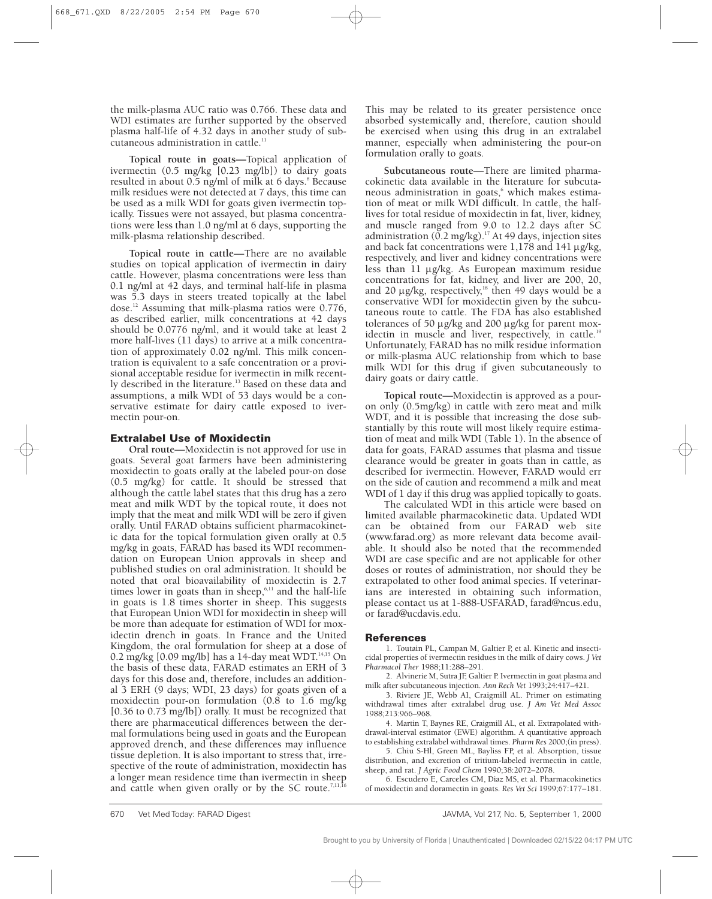the milk-plasma AUC ratio was 0.766. These data and WDI estimates are further supported by the observed plasma half-life of 4.32 days in another study of subcutaneous administration in cattle.<sup>11</sup>

**Topical route in goats—**Topical application of ivermectin (0.5 mg/kg [0.23 mg/lb]) to dairy goats resulted in about  $0.5$  ng/ml of milk at 6 days.<sup>8</sup> Because milk residues were not detected at 7 days, this time can be used as a milk WDI for goats given ivermectin topically. Tissues were not assayed, but plasma concentrations were less than 1.0 ng/ml at 6 days, supporting the milk-plasma relationship described.

**Topical route in cattle**—There are no available studies on topical application of ivermectin in dairy cattle. However, plasma concentrations were less than 0.1 ng/ml at 42 days, and terminal half-life in plasma was 5.3 days in steers treated topically at the label dose.12 Assuming that milk-plasma ratios were 0.776, as described earlier, milk concentrations at 42 days should be 0.0776 ng/ml, and it would take at least 2 more half-lives (11 days) to arrive at a milk concentration of approximately 0.02 ng/ml. This milk concentration is equivalent to a safe concentration or a provisional acceptable residue for ivermectin in milk recently described in the literature.<sup>13</sup> Based on these data and assumptions, a milk WDI of 53 days would be a conservative estimate for dairy cattle exposed to ivermectin pour-on.

## **Extralabel Use of Moxidectin**

**Oral route**—Moxidectin is not approved for use in goats. Several goat farmers have been administering moxidectin to goats orally at the labeled pour-on dose (0.5 mg/kg) for cattle. It should be stressed that although the cattle label states that this drug has a zero meat and milk WDT by the topical route, it does not imply that the meat and milk WDI will be zero if given orally. Until FARAD obtains sufficient pharmacokinetic data for the topical formulation given orally at 0.5 mg/kg in goats, FARAD has based its WDI recommendation on European Union approvals in sheep and published studies on oral administration. It should be noted that oral bioavailability of moxidectin is 2.7 times lower in goats than in sheep, $6,11$  and the half-life in goats is 1.8 times shorter in sheep. This suggests that European Union WDI for moxidectin in sheep will be more than adequate for estimation of WDI for moxidectin drench in goats. In France and the United Kingdom, the oral formulation for sheep at a dose of 0.2 mg/kg [0.09 mg/lb] has a 14-day meat WDT. $^{14,15}$  On the basis of these data, FARAD estimates an ERH of 3 days for this dose and, therefore, includes an additional 3 ERH (9 days; WDI, 23 days) for goats given of a moxidectin pour-on formulation (0.8 to 1.6 mg/kg [0.36 to 0.73 mg/lb]) orally. It must be recognized that there are pharmaceutical differences between the dermal formulations being used in goats and the European approved drench, and these differences may influence tissue depletion. It is also important to stress that, irrespective of the route of administration, moxidectin has a longer mean residence time than ivermectin in sheep and cattle when given orally or by the SC route.<sup>7,11,16</sup>

This may be related to its greater persistence once absorbed systemically and, therefore, caution should be exercised when using this drug in an extralabel manner, especially when administering the pour-on formulation orally to goats.

**Subcutaneous route**—There are limited pharmacokinetic data available in the literature for subcutaneous administration in goats,<sup>6</sup> which makes estimation of meat or milk WDI difficult. In cattle, the halflives for total residue of moxidectin in fat, liver, kidney, and muscle ranged from 9.0 to 12.2 days after SC administration ( $\overline{0.2}$  mg/kg).<sup>17</sup> At 49 days, injection sites and back fat concentrations were 1,178 and 141  $\mu$ g/kg, respectively, and liver and kidney concentrations were less than 11 µg/kg. As European maximum residue concentrations for fat, kidney, and liver are 200, 20, and 20  $\mu$ g/kg, respectively,<sup>18</sup> then 49 days would be a conservative WDI for moxidectin given by the subcutaneous route to cattle. The FDA has also established tolerances of 50 µg/kg and 200 µg/kg for parent moxidectin in muscle and liver, respectively, in cattle.<sup>19</sup> Unfortunately, FARAD has no milk residue information or milk-plasma AUC relationship from which to base milk WDI for this drug if given subcutaneously to dairy goats or dairy cattle.

**Topical route**—Moxidectin is approved as a pouron only (0.5mg/kg) in cattle with zero meat and milk WDT, and it is possible that increasing the dose substantially by this route will most likely require estimation of meat and milk WDI (Table 1). In the absence of data for goats, FARAD assumes that plasma and tissue clearance would be greater in goats than in cattle, as described for ivermectin. However, FARAD would err on the side of caution and recommend a milk and meat WDI of 1 day if this drug was applied topically to goats.

The calculated WDI in this article were based on limited available pharmacokinetic data. Updated WDI can be obtained from our FARAD web site (www.farad.org) as more relevant data become available. It should also be noted that the recommended WDI are case specific and are not applicable for other doses or routes of administration, nor should they be extrapolated to other food animal species. If veterinarians are interested in obtaining such information, please contact us at 1-888-USFARAD, farad@ncus.edu, or farad@ucdavis.edu.

## **References**

1. Toutain PL, Campan M, Galtier P, et al. Kinetic and insecticidal properties of ivermectin residues in the milk of dairy cows. *J Vet Pharmacol Ther* 1988;11:288–291.

2. Alvinerie M, Sutra JF, Galtier P. Ivermectin in goat plasma and milk after subcutaneous injection. *Ann Rech Vet* 1993;24:417–421.

3. Riviere JE, Webb AI, Craigmill AL. Primer on estimating withdrawal times after extralabel drug use. *J Am Vet Med Assoc* 1988;213:966–968.

4. Martin T, Baynes RE, Craigmill AL, et al. Extrapolated withdrawal-interval estimator (EWE) algorithm. A quantitative approach to establishing extralabel withdrawal times. *Pharm Res* 2000;(in press).

5. Chiu S-Hl, Green ML, Bayliss FP, et al. Absorption, tissue distribution, and excretion of tritium-labeled ivermectin in cattle, sheep, and rat. *J Agric Food Chem* 1990;38:2072–2078.

6. Escudero E, Carceles CM, Diaz MS, et al. Pharmacokinetics of moxidectin and doramectin in goats. *Res Vet Sci* 1999;67:177–181.